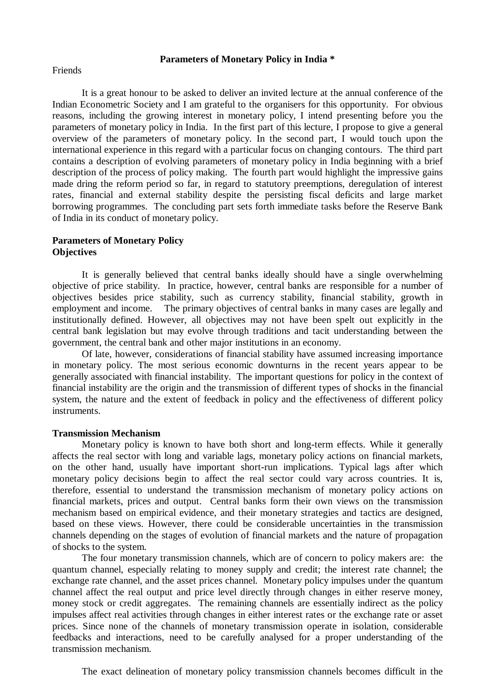# **Parameters of Monetary Policy in India \***

Friends

It is a great honour to be asked to deliver an invited lecture at the annual conference of the Indian Econometric Society and I am grateful to the organisers for this opportunity. For obvious reasons, including the growing interest in monetary policy, I intend presenting before you the parameters of monetary policy in India. In the first part of this lecture, I propose to give a general overview of the parameters of monetary policy. In the second part, I would touch upon the international experience in this regard with a particular focus on changing contours. The third part contains a description of evolving parameters of monetary policy in India beginning with a brief description of the process of policy making. The fourth part would highlight the impressive gains made dring the reform period so far, in regard to statutory preemptions, deregulation of interest rates, financial and external stability despite the persisting fiscal deficits and large market borrowing programmes. The concluding part sets forth immediate tasks before the Reserve Bank of India in its conduct of monetary policy.

# **Parameters of Monetary Policy Objectives**

It is generally believed that central banks ideally should have a single overwhelming objective of price stability. In practice, however, central banks are responsible for a number of objectives besides price stability, such as currency stability, financial stability, growth in employment and income. The primary objectives of central banks in many cases are legally and institutionally defined. However, all objectives may not have been spelt out explicitly in the central bank legislation but may evolve through traditions and tacit understanding between the government, the central bank and other major institutions in an economy.

Of late, however, considerations of financial stability have assumed increasing importance in monetary policy. The most serious economic downturns in the recent years appear to be generally associated with financial instability. The important questions for policy in the context of financial instability are the origin and the transmission of different types of shocks in the financial system, the nature and the extent of feedback in policy and the effectiveness of different policy instruments.

# **Transmission Mechanism**

Monetary policy is known to have both short and long-term effects. While it generally affects the real sector with long and variable lags, monetary policy actions on financial markets, on the other hand, usually have important short-run implications. Typical lags after which monetary policy decisions begin to affect the real sector could vary across countries. It is, therefore, essential to understand the transmission mechanism of monetary policy actions on financial markets, prices and output. Central banks form their own views on the transmission mechanism based on empirical evidence, and their monetary strategies and tactics are designed, based on these views. However, there could be considerable uncertainties in the transmission channels depending on the stages of evolution of financial markets and the nature of propagation of shocks to the system.

The four monetary transmission channels, which are of concern to policy makers are: the quantum channel, especially relating to money supply and credit; the interest rate channel; the exchange rate channel, and the asset prices channel. Monetary policy impulses under the quantum channel affect the real output and price level directly through changes in either reserve money, money stock or credit aggregates. The remaining channels are essentially indirect as the policy impulses affect real activities through changes in either interest rates or the exchange rate or asset prices. Since none of the channels of monetary transmission operate in isolation, considerable feedbacks and interactions, need to be carefully analysed for a proper understanding of the transmission mechanism.

The exact delineation of monetary policy transmission channels becomes difficult in the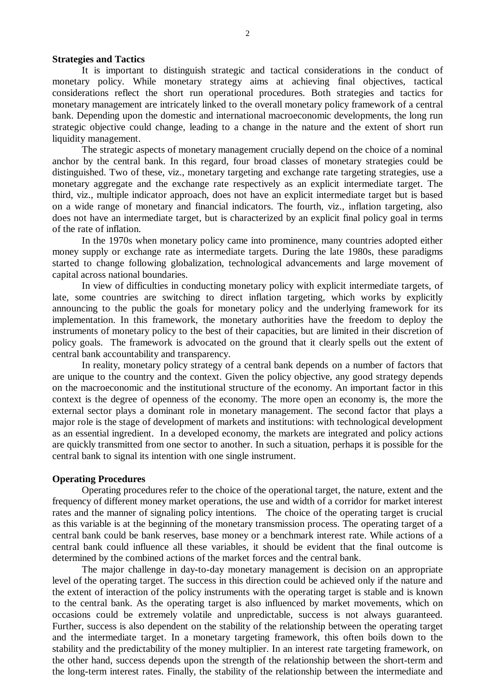## **Strategies and Tactics**

It is important to distinguish strategic and tactical considerations in the conduct of monetary policy. While monetary strategy aims at achieving final objectives, tactical considerations reflect the short run operational procedures. Both strategies and tactics for monetary management are intricately linked to the overall monetary policy framework of a central bank. Depending upon the domestic and international macroeconomic developments, the long run strategic objective could change, leading to a change in the nature and the extent of short run liquidity management.

The strategic aspects of monetary management crucially depend on the choice of a nominal anchor by the central bank. In this regard, four broad classes of monetary strategies could be distinguished. Two of these, viz., monetary targeting and exchange rate targeting strategies, use a monetary aggregate and the exchange rate respectively as an explicit intermediate target. The third, viz., multiple indicator approach, does not have an explicit intermediate target but is based on a wide range of monetary and financial indicators. The fourth, viz., inflation targeting, also does not have an intermediate target, but is characterized by an explicit final policy goal in terms of the rate of inflation.

In the 1970s when monetary policy came into prominence, many countries adopted either money supply or exchange rate as intermediate targets. During the late 1980s, these paradigms started to change following globalization, technological advancements and large movement of capital across national boundaries.

In view of difficulties in conducting monetary policy with explicit intermediate targets, of late, some countries are switching to direct inflation targeting, which works by explicitly announcing to the public the goals for monetary policy and the underlying framework for its implementation. In this framework, the monetary authorities have the freedom to deploy the instruments of monetary policy to the best of their capacities, but are limited in their discretion of policy goals. The framework is advocated on the ground that it clearly spells out the extent of central bank accountability and transparency.

In reality, monetary policy strategy of a central bank depends on a number of factors that are unique to the country and the context. Given the policy objective, any good strategy depends on the macroeconomic and the institutional structure of the economy. An important factor in this context is the degree of openness of the economy. The more open an economy is, the more the external sector plays a dominant role in monetary management. The second factor that plays a major role is the stage of development of markets and institutions: with technological development as an essential ingredient. In a developed economy, the markets are integrated and policy actions are quickly transmitted from one sector to another. In such a situation, perhaps it is possible for the central bank to signal its intention with one single instrument.

#### **Operating Procedures**

Operating procedures refer to the choice of the operational target, the nature, extent and the frequency of different money market operations, the use and width of a corridor for market interest rates and the manner of signaling policy intentions. The choice of the operating target is crucial as this variable is at the beginning of the monetary transmission process. The operating target of a central bank could be bank reserves, base money or a benchmark interest rate. While actions of a central bank could influence all these variables, it should be evident that the final outcome is determined by the combined actions of the market forces and the central bank.

The major challenge in day-to-day monetary management is decision on an appropriate level of the operating target. The success in this direction could be achieved only if the nature and the extent of interaction of the policy instruments with the operating target is stable and is known to the central bank. As the operating target is also influenced by market movements, which on occasions could be extremely volatile and unpredictable, success is not always guaranteed. Further, success is also dependent on the stability of the relationship between the operating target and the intermediate target. In a monetary targeting framework, this often boils down to the stability and the predictability of the money multiplier. In an interest rate targeting framework, on the other hand, success depends upon the strength of the relationship between the short-term and the long-term interest rates. Finally, the stability of the relationship between the intermediate and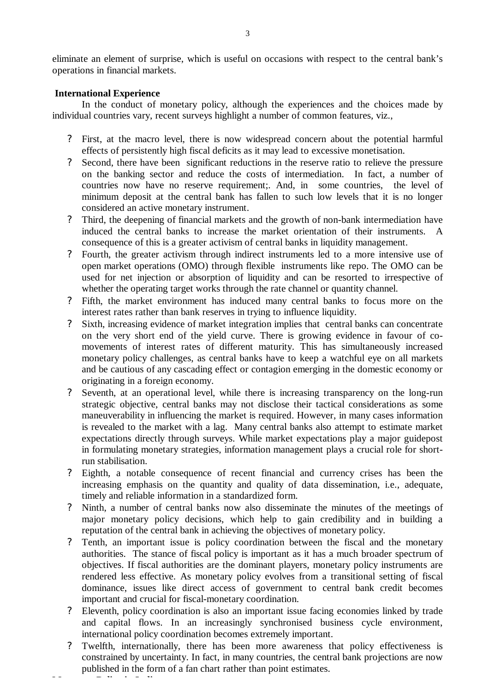eliminate an element of surprise, which is useful on occasions with respect to the central bank's operations in financial markets.

# **International Experience**

**Monetary Policy in India**

In the conduct of monetary policy, although the experiences and the choices made by individual countries vary, recent surveys highlight a number of common features, viz.,

- ? First, at the macro level, there is now widespread concern about the potential harmful effects of persistently high fiscal deficits as it may lead to excessive monetisation.
- ? Second, there have been significant reductions in the reserve ratio to relieve the pressure on the banking sector and reduce the costs of intermediation. In fact, a number of countries now have no reserve requirement;. And, in some countries, the level of minimum deposit at the central bank has fallen to such low levels that it is no longer considered an active monetary instrument.
- ? Third, the deepening of financial markets and the growth of non-bank intermediation have induced the central banks to increase the market orientation of their instruments. A consequence of this is a greater activism of central banks in liquidity management.
- ? Fourth, the greater activism through indirect instruments led to a more intensive use of open market operations (OMO) through flexible instruments like repo. The OMO can be used for net injection or absorption of liquidity and can be resorted to irrespective of whether the operating target works through the rate channel or quantity channel.
- ? Fifth, the market environment has induced many central banks to focus more on the interest rates rather than bank reserves in trying to influence liquidity.
- ? Sixth, increasing evidence of market integration implies that central banks can concentrate on the very short end of the yield curve. There is growing evidence in favour of comovements of interest rates of different maturity. This has simultaneously increased monetary policy challenges, as central banks have to keep a watchful eye on all markets and be cautious of any cascading effect or contagion emerging in the domestic economy or originating in a foreign economy.
- ? Seventh, at an operational level, while there is increasing transparency on the long-run strategic objective, central banks may not disclose their tactical considerations as some maneuverability in influencing the market is required. However, in many cases information is revealed to the market with a lag. Many central banks also attempt to estimate market expectations directly through surveys. While market expectations play a major guidepost in formulating monetary strategies, information management plays a crucial role for shortrun stabilisation.
- ? Eighth, a notable consequence of recent financial and currency crises has been the increasing emphasis on the quantity and quality of data dissemination, i.e., adequate, timely and reliable information in a standardized form.
- ? Ninth, a number of central banks now also disseminate the minutes of the meetings of major monetary policy decisions, which help to gain credibility and in building a reputation of the central bank in achieving the objectives of monetary policy.
- ? Tenth, an important issue is policy coordination between the fiscal and the monetary authorities. The stance of fiscal policy is important as it has a much broader spectrum of objectives. If fiscal authorities are the dominant players, monetary policy instruments are rendered less effective. As monetary policy evolves from a transitional setting of fiscal dominance, issues like direct access of government to central bank credit becomes important and crucial for fiscal-monetary coordination.
- ? Eleventh, policy coordination is also an important issue facing economies linked by trade and capital flows. In an increasingly synchronised business cycle environment, international policy coordination becomes extremely important.
- Twelfth, internationally, there has been more awareness that policy effectiveness is constrained by uncertainty. In fact, in many countries, the central bank projections are now published in the form of a fan chart rather than point estimates.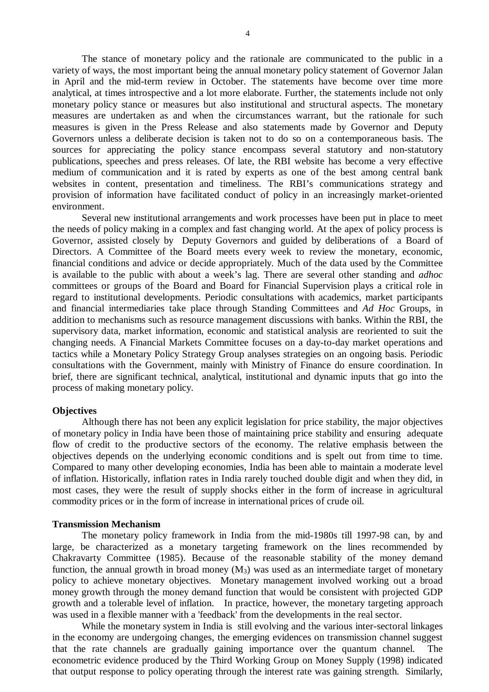The stance of monetary policy and the rationale are communicated to the public in a variety of ways, the most important being the annual monetary policy statement of Governor Jalan in April and the mid-term review in October. The statements have become over time more analytical, at times introspective and a lot more elaborate. Further, the statements include not only monetary policy stance or measures but also institutional and structural aspects. The monetary measures are undertaken as and when the circumstances warrant, but the rationale for such measures is given in the Press Release and also statements made by Governor and Deputy Governors unless a deliberate decision is taken not to do so on a contemporaneous basis. The sources for appreciating the policy stance encompass several statutory and non-statutory publications, speeches and press releases. Of late, the RBI website has become a very effective medium of communication and it is rated by experts as one of the best among central bank websites in content, presentation and timeliness. The RBI's communications strategy and provision of information have facilitated conduct of policy in an increasingly market-oriented environment.

Several new institutional arrangements and work processes have been put in place to meet the needs of policy making in a complex and fast changing world. At the apex of policy process is Governor, assisted closely by Deputy Governors and guided by deliberations of a Board of Directors. A Committee of the Board meets every week to review the monetary, economic, financial conditions and advice or decide appropriately. Much of the data used by the Committee is available to the public with about a week's lag. There are several other standing and *adhoc* committees or groups of the Board and Board for Financial Supervision plays a critical role in regard to institutional developments. Periodic consultations with academics, market participants and financial intermediaries take place through Standing Committees and *Ad Hoc* Groups, in addition to mechanisms such as resource management discussions with banks. Within the RBI, the supervisory data, market information, economic and statistical analysis are reoriented to suit the changing needs. A Financial Markets Committee focuses on a day-to-day market operations and tactics while a Monetary Policy Strategy Group analyses strategies on an ongoing basis. Periodic consultations with the Government, mainly with Ministry of Finance do ensure coordination. In brief, there are significant technical, analytical, institutional and dynamic inputs that go into the process of making monetary policy.

#### **Objectives**

Although there has not been any explicit legislation for price stability, the major objectives of monetary policy in India have been those of maintaining price stability and ensuring adequate flow of credit to the productive sectors of the economy. The relative emphasis between the objectives depends on the underlying economic conditions and is spelt out from time to time. Compared to many other developing economies, India has been able to maintain a moderate level of inflation. Historically, inflation rates in India rarely touched double digit and when they did, in most cases, they were the result of supply shocks either in the form of increase in agricultural commodity prices or in the form of increase in international prices of crude oil.

#### **Transmission Mechanism**

The monetary policy framework in India from the mid-1980s till 1997-98 can, by and large, be characterized as a monetary targeting framework on the lines recommended by Chakravarty Committee (1985). Because of the reasonable stability of the money demand function, the annual growth in broad money  $(M_3)$  was used as an intermediate target of monetary policy to achieve monetary objectives. Monetary management involved working out a broad money growth through the money demand function that would be consistent with projected GDP growth and a tolerable level of inflation. In practice, however, the monetary targeting approach was used in a flexible manner with a 'feedback' from the developments in the real sector.

While the monetary system in India is still evolving and the various inter-sectoral linkages in the economy are undergoing changes, the emerging evidences on transmission channel suggest that the rate channels are gradually gaining importance over the quantum channel. The econometric evidence produced by the Third Working Group on Money Supply (1998) indicated that output response to policy operating through the interest rate was gaining strength. Similarly,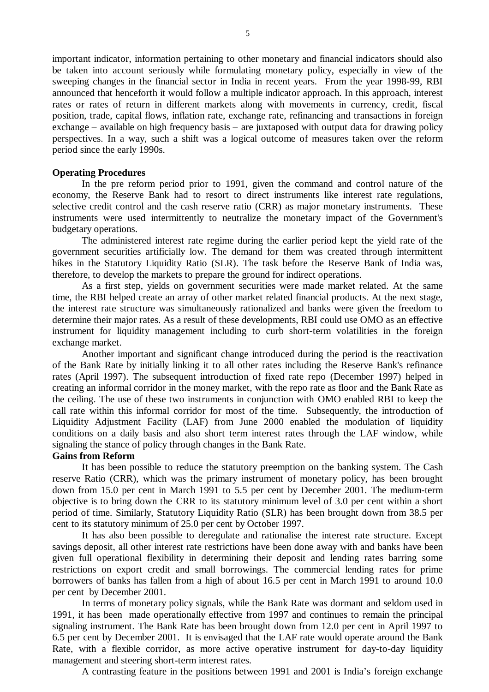important indicator, information pertaining to other monetary and financial indicators should also be taken into account seriously while formulating monetary policy, especially in view of the sweeping changes in the financial sector in India in recent years. From the year 1998-99, RBI announced that henceforth it would follow a multiple indicator approach. In this approach, interest rates or rates of return in different markets along with movements in currency, credit, fiscal position, trade, capital flows, inflation rate, exchange rate, refinancing and transactions in foreign exchange – available on high frequency basis – are juxtaposed with output data for drawing policy perspectives. In a way, such a shift was a logical outcome of measures taken over the reform period since the early 1990s.

## **Operating Procedures**

In the pre reform period prior to 1991, given the command and control nature of the economy, the Reserve Bank had to resort to direct instruments like interest rate regulations, selective credit control and the cash reserve ratio (CRR) as major monetary instruments. These instruments were used intermittently to neutralize the monetary impact of the Government's budgetary operations.

The administered interest rate regime during the earlier period kept the yield rate of the government securities artificially low. The demand for them was created through intermittent hikes in the Statutory Liquidity Ratio (SLR). The task before the Reserve Bank of India was, therefore, to develop the markets to prepare the ground for indirect operations.

As a first step, yields on government securities were made market related. At the same time, the RBI helped create an array of other market related financial products. At the next stage, the interest rate structure was simultaneously rationalized and banks were given the freedom to determine their major rates. As a result of these developments, RBI could use OMO as an effective instrument for liquidity management including to curb short-term volatilities in the foreign exchange market.

Another important and significant change introduced during the period is the reactivation of the Bank Rate by initially linking it to all other rates including the Reserve Bank's refinance rates (April 1997). The subsequent introduction of fixed rate repo (December 1997) helped in creating an informal corridor in the money market, with the repo rate as floor and the Bank Rate as the ceiling. The use of these two instruments in conjunction with OMO enabled RBI to keep the call rate within this informal corridor for most of the time. Subsequently, the introduction of Liquidity Adjustment Facility (LAF) from June 2000 enabled the modulation of liquidity conditions on a daily basis and also short term interest rates through the LAF window, while signaling the stance of policy through changes in the Bank Rate.

## **Gains from Reform**

It has been possible to reduce the statutory preemption on the banking system. The Cash reserve Ratio (CRR), which was the primary instrument of monetary policy, has been brought down from 15.0 per cent in March 1991 to 5.5 per cent by December 2001. The medium-term objective is to bring down the CRR to its statutory minimum level of 3.0 per cent within a short period of time. Similarly, Statutory Liquidity Ratio (SLR) has been brought down from 38.5 per cent to its statutory minimum of 25.0 per cent by October 1997.

It has also been possible to deregulate and rationalise the interest rate structure. Except savings deposit, all other interest rate restrictions have been done away with and banks have been given full operational flexibility in determining their deposit and lending rates barring some restrictions on export credit and small borrowings. The commercial lending rates for prime borrowers of banks has fallen from a high of about 16.5 per cent in March 1991 to around 10.0 per cent by December 2001.

In terms of monetary policy signals, while the Bank Rate was dormant and seldom used in 1991, it has been made operationally effective from 1997 and continues to remain the principal signaling instrument. The Bank Rate has been brought down from 12.0 per cent in April 1997 to 6.5 per cent by December 2001. It is envisaged that the LAF rate would operate around the Bank Rate, with a flexible corridor, as more active operative instrument for day-to-day liquidity management and steering short-term interest rates.

A contrasting feature in the positions between 1991 and 2001 is India's foreign exchange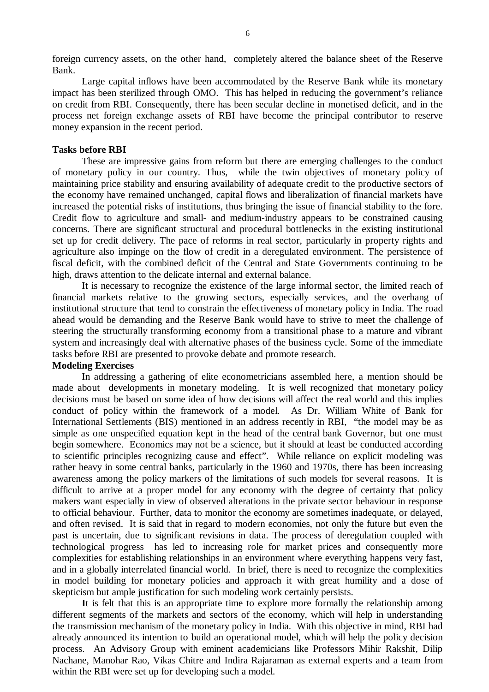foreign currency assets, on the other hand, completely altered the balance sheet of the Reserve Bank.

Large capital inflows have been accommodated by the Reserve Bank while its monetary impact has been sterilized through OMO. This has helped in reducing the government's reliance on credit from RBI. Consequently, there has been secular decline in monetised deficit, and in the process net foreign exchange assets of RBI have become the principal contributor to reserve money expansion in the recent period.

#### **Tasks before RBI**

These are impressive gains from reform but there are emerging challenges to the conduct of monetary policy in our country. Thus, while the twin objectives of monetary policy of maintaining price stability and ensuring availability of adequate credit to the productive sectors of the economy have remained unchanged, capital flows and liberalization of financial markets have increased the potential risks of institutions, thus bringing the issue of financial stability to the fore. Credit flow to agriculture and small- and medium-industry appears to be constrained causing concerns. There are significant structural and procedural bottlenecks in the existing institutional set up for credit delivery. The pace of reforms in real sector, particularly in property rights and agriculture also impinge on the flow of credit in a deregulated environment. The persistence of fiscal deficit, with the combined deficit of the Central and State Governments continuing to be high, draws attention to the delicate internal and external balance.

It is necessary to recognize the existence of the large informal sector, the limited reach of financial markets relative to the growing sectors, especially services, and the overhang of institutional structure that tend to constrain the effectiveness of monetary policy in India. The road ahead would be demanding and the Reserve Bank would have to strive to meet the challenge of steering the structurally transforming economy from a transitional phase to a mature and vibrant system and increasingly deal with alternative phases of the business cycle. Some of the immediate tasks before RBI are presented to provoke debate and promote research.

# **Modeling Exercises**

In addressing a gathering of elite econometricians assembled here, a mention should be made about developments in monetary modeling. It is well recognized that monetary policy decisions must be based on some idea of how decisions will affect the real world and this implies conduct of policy within the framework of a model. As Dr. William White of Bank for International Settlements (BIS) mentioned in an address recently in RBI, "the model may be as simple as one unspecified equation kept in the head of the central bank Governor, but one must begin somewhere. Economics may not be a science, but it should at least be conducted according to scientific principles recognizing cause and effect". While reliance on explicit modeling was rather heavy in some central banks, particularly in the 1960 and 1970s, there has been increasing awareness among the policy markers of the limitations of such models for several reasons. It is difficult to arrive at a proper model for any economy with the degree of certainty that policy makers want especially in view of observed alterations in the private sector behaviour in response to official behaviour. Further, data to monitor the economy are sometimes inadequate, or delayed, and often revised. It is said that in regard to modern economies, not only the future but even the past is uncertain, due to significant revisions in data. The process of deregulation coupled with technological progress has led to increasing role for market prices and consequently more complexities for establishing relationships in an environment where everything happens very fast, and in a globally interrelated financial world. In brief, there is need to recognize the complexities in model building for monetary policies and approach it with great humility and a dose of skepticism but ample justification for such modeling work certainly persists.

**I**t is felt that this is an appropriate time to explore more formally the relationship among different segments of the markets and sectors of the economy, which will help in understanding the transmission mechanism of the monetary policy in India. With this objective in mind, RBI had already announced its intention to build an operational model, which will help the policy decision process. An Advisory Group with eminent academicians like Professors Mihir Rakshit, Dilip Nachane, Manohar Rao, Vikas Chitre and Indira Rajaraman as external experts and a team from within the RBI were set up for developing such a model.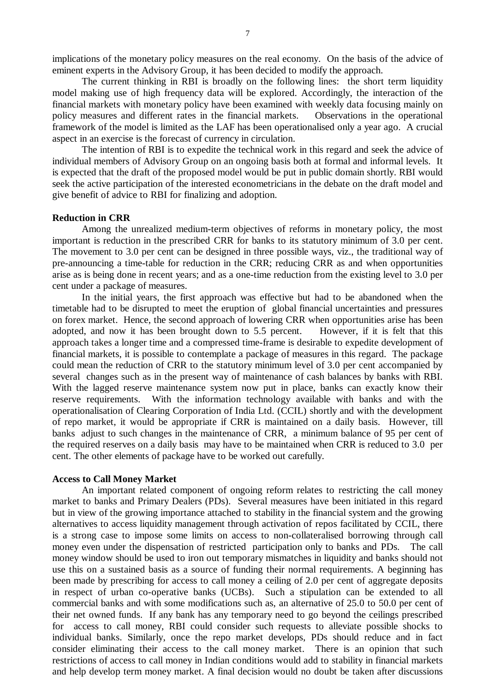implications of the monetary policy measures on the real economy. On the basis of the advice of eminent experts in the Advisory Group, it has been decided to modify the approach.

The current thinking in RBI is broadly on the following lines: the short term liquidity model making use of high frequency data will be explored. Accordingly, the interaction of the financial markets with monetary policy have been examined with weekly data focusing mainly on policy measures and different rates in the financial markets. Observations in the operational framework of the model is limited as the LAF has been operationalised only a year ago. A crucial aspect in an exercise is the forecast of currency in circulation.

The intention of RBI is to expedite the technical work in this regard and seek the advice of individual members of Advisory Group on an ongoing basis both at formal and informal levels. It is expected that the draft of the proposed model would be put in public domain shortly. RBI would seek the active participation of the interested econometricians in the debate on the draft model and give benefit of advice to RBI for finalizing and adoption.

# **Reduction in CRR**

Among the unrealized medium-term objectives of reforms in monetary policy, the most important is reduction in the prescribed CRR for banks to its statutory minimum of 3.0 per cent. The movement to 3.0 per cent can be designed in three possible ways, viz., the traditional way of pre-announcing a time-table for reduction in the CRR; reducing CRR as and when opportunities arise as is being done in recent years; and as a one-time reduction from the existing level to 3.0 per cent under a package of measures.

In the initial years, the first approach was effective but had to be abandoned when the timetable had to be disrupted to meet the eruption of global financial uncertainties and pressures on forex market. Hence, the second approach of lowering CRR when opportunities arise has been adopted, and now it has been brought down to 5.5 percent. However, if it is felt that this approach takes a longer time and a compressed time-frame is desirable to expedite development of financial markets, it is possible to contemplate a package of measures in this regard. The package could mean the reduction of CRR to the statutory minimum level of 3.0 per cent accompanied by several changes such as in the present way of maintenance of cash balances by banks with RBI. With the lagged reserve maintenance system now put in place, banks can exactly know their reserve requirements. With the information technology available with banks and with the operationalisation of Clearing Corporation of India Ltd. (CCIL) shortly and with the development of repo market, it would be appropriate if CRR is maintained on a daily basis. However, till banks adjust to such changes in the maintenance of CRR, a minimum balance of 95 per cent of the required reserves on a daily basis may have to be maintained when CRR is reduced to 3.0 per cent. The other elements of package have to be worked out carefully.

#### **Access to Call Money Market**

An important related component of ongoing reform relates to restricting the call money market to banks and Primary Dealers (PDs). Several measures have been initiated in this regard but in view of the growing importance attached to stability in the financial system and the growing alternatives to access liquidity management through activation of repos facilitated by CCIL, there is a strong case to impose some limits on access to non-collateralised borrowing through call money even under the dispensation of restricted participation only to banks and PDs. The call money window should be used to iron out temporary mismatches in liquidity and banks should not use this on a sustained basis as a source of funding their normal requirements. A beginning has been made by prescribing for access to call money a ceiling of 2.0 per cent of aggregate deposits in respect of urban co-operative banks (UCBs). Such a stipulation can be extended to all commercial banks and with some modifications such as, an alternative of 25.0 to 50.0 per cent of their net owned funds. If any bank has any temporary need to go beyond the ceilings prescribed for access to call money, RBI could consider such requests to alleviate possible shocks to individual banks. Similarly, once the repo market develops, PDs should reduce and in fact consider eliminating their access to the call money market. There is an opinion that such restrictions of access to call money in Indian conditions would add to stability in financial markets and help develop term money market. A final decision would no doubt be taken after discussions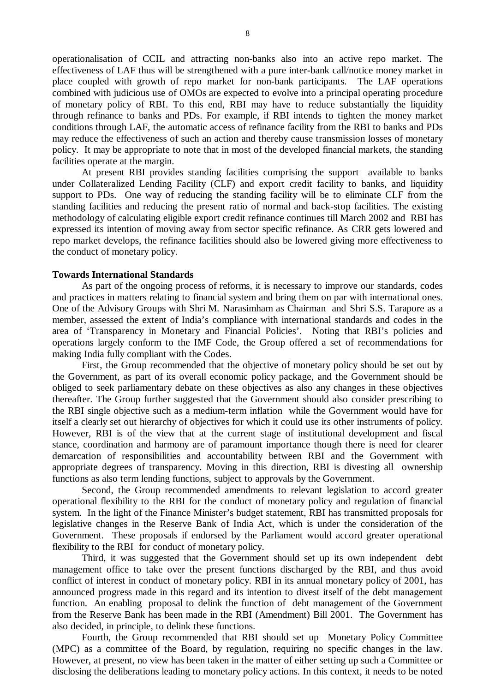operationalisation of CCIL and attracting non-banks also into an active repo market. The effectiveness of LAF thus will be strengthened with a pure inter-bank call/notice money market in place coupled with growth of repo market for non-bank participants. The LAF operations combined with judicious use of OMOs are expected to evolve into a principal operating procedure of monetary policy of RBI. To this end, RBI may have to reduce substantially the liquidity through refinance to banks and PDs. For example, if RBI intends to tighten the money market conditions through LAF, the automatic access of refinance facility from the RBI to banks and PDs may reduce the effectiveness of such an action and thereby cause transmission losses of monetary policy. It may be appropriate to note that in most of the developed financial markets, the standing facilities operate at the margin.

At present RBI provides standing facilities comprising the support available to banks under Collateralized Lending Facility (CLF) and export credit facility to banks, and liquidity support to PDs. One way of reducing the standing facility will be to eliminate CLF from the standing facilities and reducing the present ratio of normal and back-stop facilities. The existing methodology of calculating eligible export credit refinance continues till March 2002 and RBI has expressed its intention of moving away from sector specific refinance. As CRR gets lowered and repo market develops, the refinance facilities should also be lowered giving more effectiveness to the conduct of monetary policy.

#### **Towards International Standards**

As part of the ongoing process of reforms, it is necessary to improve our standards, codes and practices in matters relating to financial system and bring them on par with international ones. One of the Advisory Groups with Shri M. Narasimham as Chairman and Shri S.S. Tarapore as a member, assessed the extent of India's compliance with international standards and codes in the area of 'Transparency in Monetary and Financial Policies'. Noting that RBI's policies and operations largely conform to the IMF Code, the Group offered a set of recommendations for making India fully compliant with the Codes.

First, the Group recommended that the objective of monetary policy should be set out by the Government, as part of its overall economic policy package, and the Government should be obliged to seek parliamentary debate on these objectives as also any changes in these objectives thereafter. The Group further suggested that the Government should also consider prescribing to the RBI single objective such as a medium-term inflation while the Government would have for itself a clearly set out hierarchy of objectives for which it could use its other instruments of policy. However, RBI is of the view that at the current stage of institutional development and fiscal stance, coordination and harmony are of paramount importance though there is need for clearer demarcation of responsibilities and accountability between RBI and the Government with appropriate degrees of transparency. Moving in this direction, RBI is divesting all ownership functions as also term lending functions, subject to approvals by the Government.

Second, the Group recommended amendments to relevant legislation to accord greater operational flexibility to the RBI for the conduct of monetary policy and regulation of financial system. In the light of the Finance Minister's budget statement, RBI has transmitted proposals for legislative changes in the Reserve Bank of India Act, which is under the consideration of the Government. These proposals if endorsed by the Parliament would accord greater operational flexibility to the RBI for conduct of monetary policy.

Third, it was suggested that the Government should set up its own independent debt management office to take over the present functions discharged by the RBI, and thus avoid conflict of interest in conduct of monetary policy. RBI in its annual monetary policy of 2001, has announced progress made in this regard and its intention to divest itself of the debt management function. An enabling proposal to delink the function of debt management of the Government from the Reserve Bank has been made in the RBI (Amendment) Bill 2001. The Government has also decided, in principle, to delink these functions.

Fourth, the Group recommended that RBI should set up Monetary Policy Committee (MPC) as a committee of the Board, by regulation, requiring no specific changes in the law. However, at present, no view has been taken in the matter of either setting up such a Committee or disclosing the deliberations leading to monetary policy actions. In this context, it needs to be noted